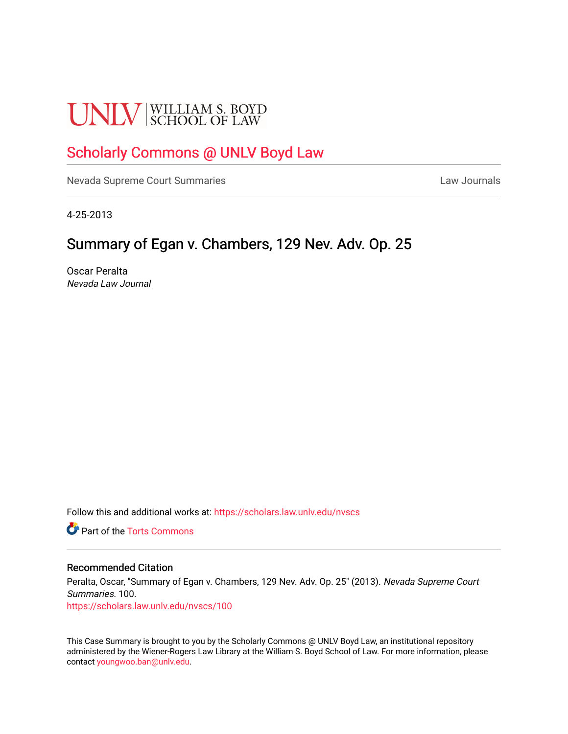# **UNLV** SCHOOL OF LAW

## [Scholarly Commons @ UNLV Boyd Law](https://scholars.law.unlv.edu/)

[Nevada Supreme Court Summaries](https://scholars.law.unlv.edu/nvscs) **Law Journals** Law Journals

4-25-2013

### Summary of Egan v. Chambers, 129 Nev. Adv. Op. 25

Oscar Peralta Nevada Law Journal

Follow this and additional works at: [https://scholars.law.unlv.edu/nvscs](https://scholars.law.unlv.edu/nvscs?utm_source=scholars.law.unlv.edu%2Fnvscs%2F100&utm_medium=PDF&utm_campaign=PDFCoverPages)

**C** Part of the [Torts Commons](http://network.bepress.com/hgg/discipline/913?utm_source=scholars.law.unlv.edu%2Fnvscs%2F100&utm_medium=PDF&utm_campaign=PDFCoverPages)

#### Recommended Citation

Peralta, Oscar, "Summary of Egan v. Chambers, 129 Nev. Adv. Op. 25" (2013). Nevada Supreme Court Summaries. 100. [https://scholars.law.unlv.edu/nvscs/100](https://scholars.law.unlv.edu/nvscs/100?utm_source=scholars.law.unlv.edu%2Fnvscs%2F100&utm_medium=PDF&utm_campaign=PDFCoverPages)

This Case Summary is brought to you by the Scholarly Commons @ UNLV Boyd Law, an institutional repository administered by the Wiener-Rogers Law Library at the William S. Boyd School of Law. For more information, please contact [youngwoo.ban@unlv.edu](mailto:youngwoo.ban@unlv.edu).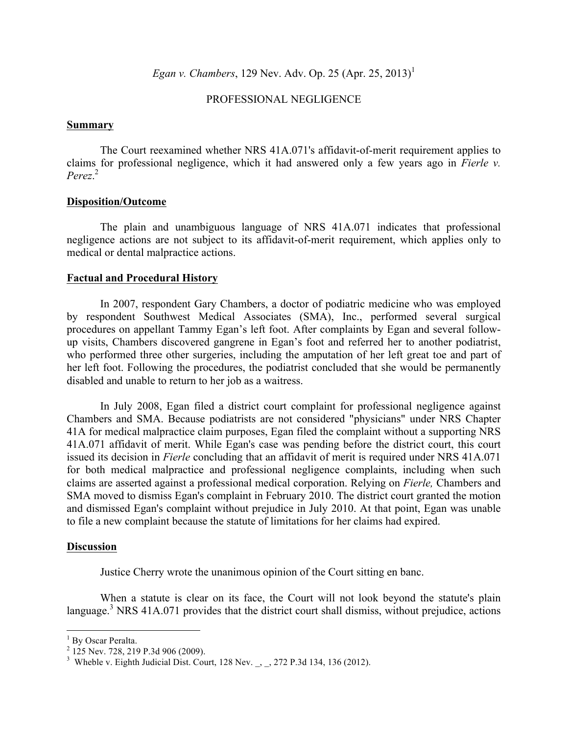*Egan v. Chambers*, 129 Nev. Adv. Op. 25 (Apr. 25, 2013)<sup>1</sup>

#### PROFESSIONAL NEGLIGENCE

#### **Summary**

The Court reexamined whether NRS 41A.071's affidavit-of-merit requirement applies to claims for professional negligence, which it had answered only a few years ago in *Fierle v. Perez*. 2

#### **Disposition/Outcome**

The plain and unambiguous language of NRS 41A.071 indicates that professional negligence actions are not subject to its affidavit-of-merit requirement, which applies only to medical or dental malpractice actions.

#### **Factual and Procedural History**

In 2007, respondent Gary Chambers, a doctor of podiatric medicine who was employed by respondent Southwest Medical Associates (SMA), Inc., performed several surgical procedures on appellant Tammy Egan's left foot. After complaints by Egan and several followup visits, Chambers discovered gangrene in Egan's foot and referred her to another podiatrist, who performed three other surgeries, including the amputation of her left great toe and part of her left foot. Following the procedures, the podiatrist concluded that she would be permanently disabled and unable to return to her job as a waitress.

In July 2008, Egan filed a district court complaint for professional negligence against Chambers and SMA. Because podiatrists are not considered "physicians" under NRS Chapter 41A for medical malpractice claim purposes, Egan filed the complaint without a supporting NRS 41A.071 affidavit of merit. While Egan's case was pending before the district court, this court issued its decision in *Fierle* concluding that an affidavit of merit is required under NRS 41A.071 for both medical malpractice and professional negligence complaints, including when such claims are asserted against a professional medical corporation. Relying on *Fierle,* Chambers and SMA moved to dismiss Egan's complaint in February 2010. The district court granted the motion and dismissed Egan's complaint without prejudice in July 2010. At that point, Egan was unable to file a new complaint because the statute of limitations for her claims had expired.

#### **Discussion**

Justice Cherry wrote the unanimous opinion of the Court sitting en banc.

When a statute is clear on its face, the Court will not look beyond the statute's plain language.<sup>3</sup> NRS 41A.071 provides that the district court shall dismiss, without prejudice, actions

<sup>&</sup>lt;sup>1</sup> By Oscar Peralta.

 $^{2}$  125 Nev. 728, 219 P.3d 906 (2009).

<sup>&</sup>lt;sup>3</sup> Wheble v. Eighth Judicial Dist. Court, 128 Nev.  $\,$ , 272 P.3d 134, 136 (2012).